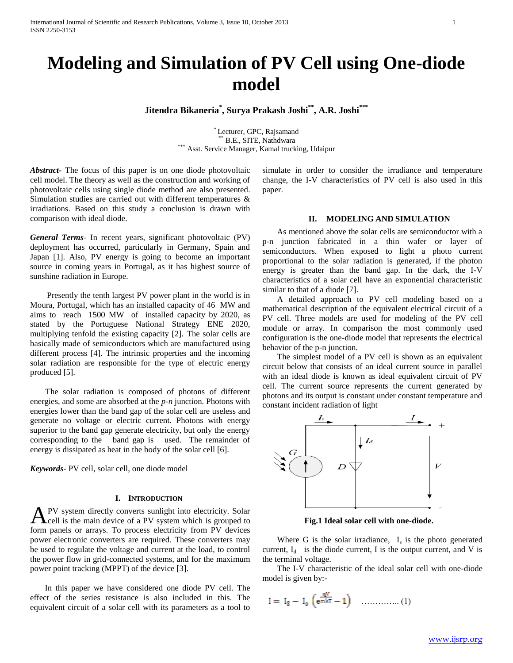# **Modeling and Simulation of PV Cell using One-diode model**

**Jitendra Bikaneria\* , Surya Prakash Joshi\*\* , A.R. Joshi\*\*\***

\* Lecturer, GPC, Rajsamand B.E., SITE, Nathdwara Asst. Service Manager, Kamal trucking, Udaipur

*Abstract***-** The focus of this paper is on one diode photovoltaic cell model. The theory as well as the construction and working of photovoltaic cells using single diode method are also presented. Simulation studies are carried out with different temperatures & irradiations. Based on this study a conclusion is drawn with comparison with ideal diode.

*General Terms*- In recent years, significant photovoltaic (PV) deployment has occurred, particularly in Germany, Spain and Japan [1]. Also, PV energy is going to become an important source in coming years in Portugal, as it has highest source of sunshine radiation in Europe.

 Presently the tenth largest PV power plant in the world is in Moura, Portugal, which has an installed capacity of 46 MW and aims to reach 1500 MW of installed capacity by 2020, as stated by the Portuguese National Strategy ENE 2020, multiplying tenfold the existing capacity [2]. The solar cells are basically made of semiconductors which are manufactured using different process [4]. The intrinsic properties and the incoming solar radiation are responsible for the type of electric energy produced [5].

The solar radiation is composed of photons of different energies, and some are absorbed at the *p-n* junction. Photons with energies lower than the band gap of the solar cell are useless and generate no voltage or electric current. Photons with energy superior to the band gap generate electricity, but only the energy corresponding to the band gap is used. The remainder of energy is dissipated as heat in the body of the solar cell [6].

*Keywords*- PV cell, solar cell, one diode model

# **I. INTRODUCTION**

PV system directly converts sunlight into electricity. Solar A PV system directly converts sunlight into electricity. Solar<br>cell is the main device of a PV system which is grouped to form panels or arrays. To process electricity from PV devices power electronic converters are required. These converters may be used to regulate the voltage and current at the load, to control the power flow in grid-connected systems, and for the maximum power point tracking (MPPT) of the device [3].

 In this paper we have considered one diode PV cell. The effect of the series resistance is also included in this. The equivalent circuit of a solar cell with its parameters as a tool to

simulate in order to consider the irradiance and temperature change, the I-V characteristics of PV cell is also used in this paper.

#### **II. MODELING AND SIMULATION**

 As mentioned above the solar cells are semiconductor with a p-n junction fabricated in a thin wafer or layer of semiconductors. When exposed to light a photo current proportional to the solar radiation is generated, if the photon energy is greater than the band gap. In the dark, the I-V characteristics of a solar cell have an exponential characteristic similar to that of a diode [7].

 A detailed approach to PV cell modeling based on a mathematical description of the equivalent electrical circuit of a PV cell. Three models are used for modeling of the PV cell module or array. In comparison the most commonly used configuration is the one-diode model that represents the electrical behavior of the p-n junction.

 The simplest model of a PV cell is shown as an equivalent circuit below that consists of an ideal current source in parallel with an ideal diode is known as ideal equivalent circuit of PV cell. The current source represents the current generated by photons and its output is constant under constant temperature and constant incident radiation of light



**Fig.1 Ideal solar cell with one-diode.**

Where G is the solar irradiance,  $I_s$  is the photo generated current,  $I_d$  is the diode current, I is the output current, and V is the terminal voltage.

 The I-V characteristic of the ideal solar cell with one-diode model is given by:-

$$
I = I_{S} - I_{0} \left( e^{m k T} - 1 \right) \quad \dots \dots \dots \dots \dots \dots (1)
$$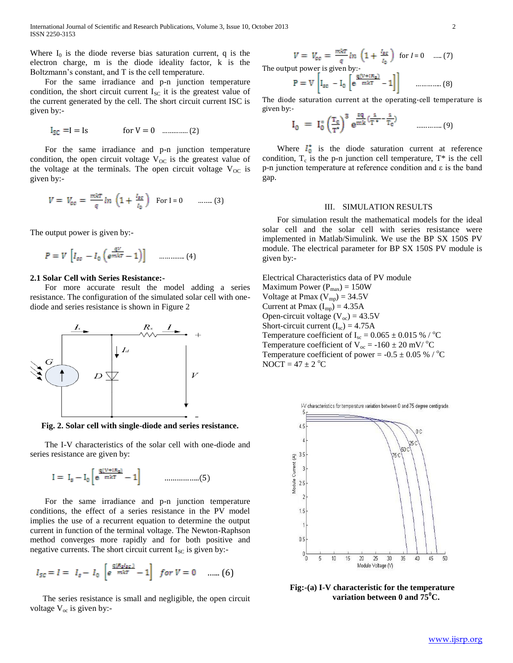International Journal of Scientific and Research Publications, Volume 3, Issue 10, October 2013 2 ISSN 2250-3153

Where  $I_0$  is the diode reverse bias saturation current, q is the electron charge, m is the diode ideality factor, k is the Boltzmann's constant, and T is the cell temperature.

 For the same irradiance and p-n junction temperature condition, the short circuit current  $I_{SC}$  it is the greatest value of the current generated by the cell. The short circuit current ISC is given by:-

$$
I_{SC} = I = Is
$$
 for  $V = 0$  ....... (2)

 For the same irradiance and p-n junction temperature condition, the open circuit voltage  $V_{OC}$  is the greatest value of the voltage at the terminals. The open circuit voltage  $V_{OC}$  is given by:-

$$
V = V_{oc} = \frac{m k T}{q} \ln \left( 1 + \frac{l_{sc}}{l_0} \right) \quad \text{For I = 0} \qquad \dots \dots \dots (3)
$$

The output power is given by:-

$$
P = V \left[ I_{sc} - I_0 \left( e^{\frac{qV}{mkT}} - 1 \right) \right] \qquad \qquad \dots \dots \dots \dots \dots \tag{4}
$$

#### **2.1 Solar Cell with Series Resistance:-**

 For more accurate result the model adding a series resistance. The configuration of the simulated solar cell with onediode and series resistance is shown in Figure 2



**Fig. 2. Solar cell with single-diode and series resistance.**

 The I-V characteristics of the solar cell with one-diode and series resistance are given by:

$$
I = I_s - I_0 \left[ e^{\frac{q(V+IR_s)}{mkT}} - 1 \right] \qquad \qquad \dots \dots \dots \dots \dots \dots \dots \tag{5}
$$

 For the same irradiance and p-n junction temperature conditions, the effect of a series resistance in the PV model implies the use of a recurrent equation to determine the output current in function of the terminal voltage. The Newton-Raphson method converges more rapidly and for both positive and negative currents. The short circuit current  $I_{SC}$  is given by:-

$$
I_{SC} = I = I_s - I_0 \left[ e^{\frac{q(R_s I_{SC})}{m k T}} - 1 \right] \text{ for } V = 0 \quad \dots \dots \text{ (6)}
$$

 The series resistance is small and negligible, the open circuit voltage  $V_{oc}$  is given by:-

$$
V = V_{oc} = \frac{m k T}{q} ln \left( 1 + \frac{l_{sc}}{l_0} \right) \text{ for } l = 0 \quad \dots (7)
$$
  
The output power is given by:

$$
P = V \left[ I_{\text{SC}} - I_0 \left[ e^{\frac{q(V + IR_{\text{s}})}{mkT}} - 1 \right] \right] \qquad \qquad \dots \dots \dots \dots \dots \tag{8}
$$

The diode saturation current at the operating-cell temperature is given by:-

$$
I_0 = I_0^* \left(\frac{T_c}{T^*}\right)^3 e^{\frac{c_1}{mk} \left(\frac{2}{T^*} - \frac{2}{T_c}\right)} \qquad \qquad \dots \dots \dots \dots (9)
$$

Where  $I_0^*$  is the diode saturation current at reference condition,  $T_c$  is the p-n junction cell temperature,  $T^*$  is the cell p-n junction temperature at reference condition and ε is the band gap.

# III. SIMULATION RESULTS

 For simulation result the mathematical models for the ideal solar cell and the solar cell with series resistance were implemented in Matlab/Simulink. We use the BP SX 150S PV module. The electrical parameter for BP SX 150S PV module is given by:-

Electrical Characteristics data of PV module Maximum Power  $(P_{max}) = 150W$ Voltage at Pmax  $(V_{mp}) = 34.5V$ Current at Pmax  $(I_{mp}) = 4.35A$ Open-circuit voltage  $(V_{oc}) = 43.5V$ Short-circuit current  $(I<sub>sc</sub>) = 4.75A$ Temperature coefficient of  $I_{\text{sc}} = 0.065 \pm 0.015$  % / <sup>o</sup>C Temperature coefficient of  $V_{oc} = -160 \pm 20$  mV/<sup>o</sup>C Temperature coefficient of power =  $-0.5 \pm 0.05$  % / °C  $NOCT = 47 \pm 2 °C$ 



**Fig:-(a) I-V characteristic for the temperature variation between 0 and 75<sup>0</sup>C.**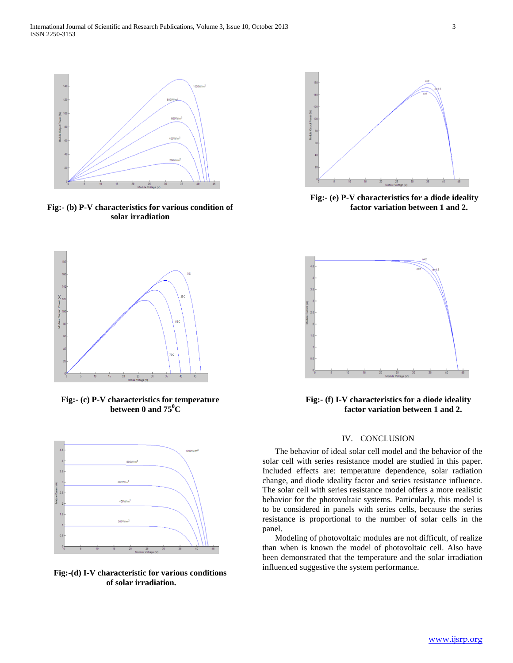

**Fig:- (b) P-V characteristics for various condition of solar irradiation**



**Fig:- (c) P-V characteristics for temperature between 0 and 75<sup>0</sup>C**



**Fig:-(d) I-V characteristic for various conditions of solar irradiation.**



 **Fig:- (e) P-V characteristics for a diode ideality factor variation between 1 and 2.**



**Fig:- (f) I-V characteristics for a diode ideality factor variation between 1 and 2.**

# IV. CONCLUSION

 The behavior of ideal solar cell model and the behavior of the solar cell with series resistance model are studied in this paper. Included effects are: temperature dependence, solar radiation change, and diode ideality factor and series resistance influence. The solar cell with series resistance model offers a more realistic behavior for the photovoltaic systems. Particularly, this model is to be considered in panels with series cells, because the series resistance is proportional to the number of solar cells in the panel.

 Modeling of photovoltaic modules are not difficult, of realize than when is known the model of photovoltaic cell. Also have been demonstrated that the temperature and the solar irradiation influenced suggestive the system performance.